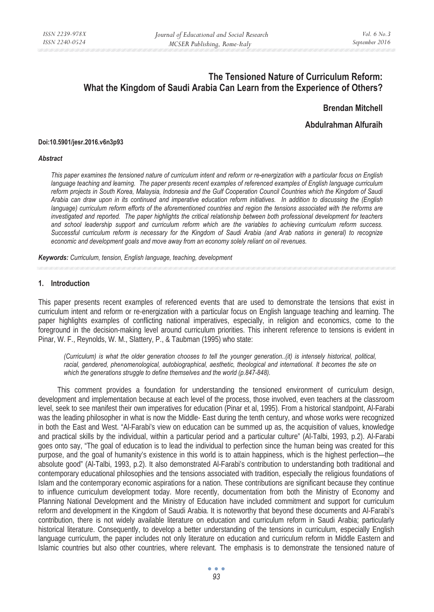# **The Tensioned Nature of Curriculum Reform: What the Kingdom of Saudi Arabia Can Learn from the Experience of Others?**

**Brendan Mitchell Abdulrahman Alfuraih** 

#### **Doi:10.5901/jesr.2016.v6n3p93**

#### *Abstract*

*This paper examines the tensioned nature of curriculum intent and reform or re-energization with a particular focus on English language teaching and learning. The paper presents recent examples of referenced examples of English language curriculum reform projects in South Korea, Malaysia, Indonesia and the Gulf Cooperation Council Countries which the Kingdom of Saudi Arabia can draw upon in its continued and imperative education reform initiatives. In addition to discussing the (English language) curriculum reform efforts of the aforementioned countries and region the tensions associated with the reforms are investigated and reported. The paper highlights the critical relationship between both professional development for teachers and school leadership support and curriculum reform which are the variables to achieving curriculum reform success. Successful curriculum reform is necessary for the Kingdom of Saudi Arabia (and Arab nations in general) to recognize economic and development goals and move away from an economy solely reliant on oil revenues.* 

*Keywords: Curriculum, tension, English language, teaching, development* 

## **1. Introduction**

This paper presents recent examples of referenced events that are used to demonstrate the tensions that exist in curriculum intent and reform or re-energization with a particular focus on English language teaching and learning. The paper highlights examples of conflicting national imperatives, especially, in religion and economics, come to the foreground in the decision-making level around curriculum priorities. This inherent reference to tensions is evident in Pinar, W. F., Reynolds, W. M., Slattery, P., & Taubman (1995) who state:

*(Curriculum) is what the older generation chooses to tell the younger generation..(it) is intensely historical, political, racial, gendered, phenomenological, autobiographical, aesthetic, theological and international. It becomes the site on*  which the generations struggle to define themselves and the world (p.847-848).

This comment provides a foundation for understanding the tensioned environment of curriculum design, development and implementation because at each level of the process, those involved, even teachers at the classroom level, seek to see manifest their own imperatives for education (Pinar et al, 1995). From a historical standpoint, Al-Farabi was the leading philosopher in what is now the Middle- East during the tenth century, and whose works were recognized in both the East and West. "Al-Farabi's view on education can be summed up as, the acquisition of values, knowledge and practical skills by the individual, within a particular period and a particular culture" (Al-Talbi, 1993, p.2). Al-Farabi goes onto say, "The goal of education is to lead the individual to perfection since the human being was created for this purpose, and the goal of humanity's existence in this world is to attain happiness, which is the highest perfection—the absolute good" (Al-Talbi, 1993, p.2). It also demonstrated Al-Farabi's contribution to understanding both traditional and contemporary educational philosophies and the tensions associated with tradition, especially the religious foundations of Islam and the contemporary economic aspirations for a nation. These contributions are significant because they continue to influence curriculum development today. More recently, documentation from both the Ministry of Economy and Planning National Development and the Ministry of Education have included commitment and support for curriculum reform and development in the Kingdom of Saudi Arabia. It is noteworthy that beyond these documents and Al-Farabi's contribution, there is not widely available literature on education and curriculum reform in Saudi Arabia; particularly historical literature. Consequently, to develop a better understanding of the tensions in curriculum, especially English language curriculum, the paper includes not only literature on education and curriculum reform in Middle Eastern and Islamic countries but also other countries, where relevant. The emphasis is to demonstrate the tensioned nature of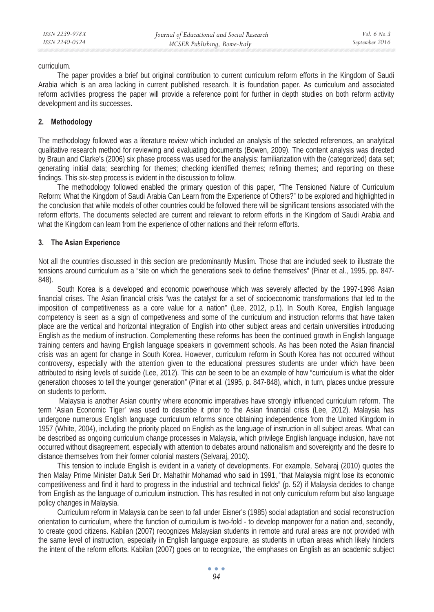curriculum.

The paper provides a brief but original contribution to current curriculum reform efforts in the Kingdom of Saudi Arabia which is an area lacking in current published research. It is foundation paper. As curriculum and associated reform activities progress the paper will provide a reference point for further in depth studies on both reform activity development and its successes.

# **2. Methodology**

The methodology followed was a literature review which included an analysis of the selected references, an analytical qualitative research method for reviewing and evaluating documents (Bowen, 2009). The content analysis was directed by Braun and Clarke's (2006) six phase process was used for the analysis: familiarization with the (categorized) data set; generating initial data; searching for themes; checking identified themes; refining themes; and reporting on these findings. This six-step process is evident in the discussion to follow.

The methodology followed enabled the primary question of this paper, "The Tensioned Nature of Curriculum Reform: What the Kingdom of Saudi Arabia Can Learn from the Experience of Others?" to be explored and highlighted in the conclusion that while models of other countries could be followed there will be significant tensions associated with the reform efforts. The documents selected are current and relevant to reform efforts in the Kingdom of Saudi Arabia and what the Kingdom can learn from the experience of other nations and their reform efforts.

# **3. The Asian Experience**

Not all the countries discussed in this section are predominantly Muslim. Those that are included seek to illustrate the tensions around curriculum as a "site on which the generations seek to define themselves" (Pinar et al., 1995, pp. 847- 848).

South Korea is a developed and economic powerhouse which was severely affected by the 1997-1998 Asian financial crises. The Asian financial crisis "was the catalyst for a set of socioeconomic transformations that led to the imposition of competitiveness as a core value for a nation" (Lee, 2012, p.1). In South Korea, English language competency is seen as a sign of competiveness and some of the curriculum and instruction reforms that have taken place are the vertical and horizontal integration of English into other subject areas and certain universities introducing English as the medium of instruction. Complementing these reforms has been the continued growth in English language training centers and having English language speakers in government schools. As has been noted the Asian financial crisis was an agent for change in South Korea. However, curriculum reform in South Korea has not occurred without controversy, especially with the attention given to the educational pressures students are under which have been attributed to rising levels of suicide (Lee, 2012). This can be seen to be an example of how "curriculum is what the older generation chooses to tell the younger generation" (Pinar et al. (1995, p. 847-848), which, in turn, places undue pressure on students to perform.

 Malaysia is another Asian country where economic imperatives have strongly influenced curriculum reform. The term 'Asian Economic Tiger' was used to describe it prior to the Asian financial crisis (Lee, 2012). Malaysia has undergone numerous English language curriculum reforms since obtaining independence from the United Kingdom in 1957 (White, 2004), including the priority placed on English as the language of instruction in all subject areas. What can be described as ongoing curriculum change processes in Malaysia, which privilege English language inclusion, have not occurred without disagreement, especially with attention to debates around nationalism and sovereignty and the desire to distance themselves from their former colonial masters (Selvaraj, 2010).

This tension to include English is evident in a variety of developments. For example, Selvaraj (2010) quotes the then Malay Prime Minister Datuk Seri Dr. Mahathir Mohamad who said in 1991, "that Malaysia might lose its economic competitiveness and find it hard to progress in the industrial and technical fields" (p. 52) if Malaysia decides to change from English as the language of curriculum instruction. This has resulted in not only curriculum reform but also language policy changes in Malaysia.

Curriculum reform in Malaysia can be seen to fall under Eisner's (1985) social adaptation and social reconstruction orientation to curriculum, where the function of curriculum is two-fold - to develop manpower for a nation and, secondly, to create good citizens. Kabilan (2007) recognizes Malaysian students in remote and rural areas are not provided with the same level of instruction, especially in English language exposure, as students in urban areas which likely hinders the intent of the reform efforts. Kabilan (2007) goes on to recognize, "the emphases on English as an academic subject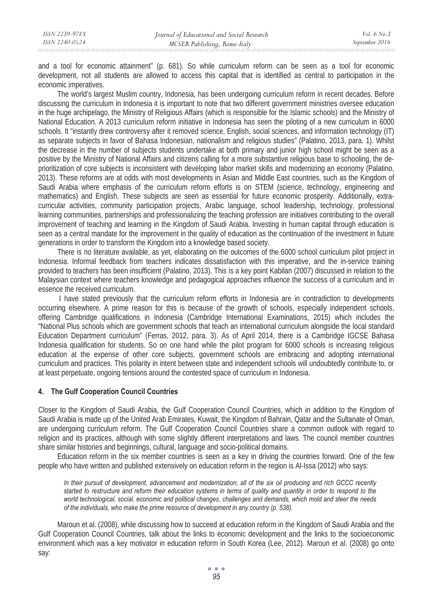and a tool for economic attainment" (p. 681). So while curriculum reform can be seen as a tool for economic development, not all students are allowed to access this capital that is identified as central to participation in the economic imperatives.

The world's largest Muslim country, Indonesia, has been undergoing curriculum reform in recent decades. Before discussing the curriculum in Indonesia it is important to note that two different government ministries oversee education in the huge archipelago, the Ministry of Religious Affairs (which is responsible for the Islamic schools) and the Ministry of National Education. A 2013 curriculum reform initiative in Indonesia has seen the piloting of a new curriculum in 6000 schools. It "instantly drew controversy after it removed science, English, social sciences, and information technology (IT) as separate subjects in favor of Bahasa Indonesian, nationalism and religious studies" (Palatino, 2013, para. 1). Whilst the decrease in the number of subjects students undertake at both primary and junior high school might be seen as a positive by the Ministry of National Affairs and citizens calling for a more substantive religious base to schooling, the deprioritization of core subjects is inconsistent with developing labor market skills and modernizing an economy (Palatino, 2013). These reforms are at odds with most developments in Asian and Middle East countries, such as the Kingdom of Saudi Arabia where emphasis of the curriculum reform efforts is on STEM (science, technology, engineering and mathematics) and English. These subjects are seen as essential for future economic prosperity. Additionally, extracurricular activities, community participation projects, Arabic language, school leadership, technology, professional learning communities, partnerships and professionalizing the teaching profession are initiatives contributing to the overall improvement of teaching and learning in the Kingdom of Saudi Arabia. Investing in human capital through education is seen as a central mandate for the improvement in the quality of education as the continuation of the investment in future generations in order to transform the Kingdom into a knowledge based society.

There is no literature available, as yet, elaborating on the outcomes of the 6000 school curriculum pilot project in Indonesia. Informal feedback from teachers indicates dissatisfaction with this imperative, and the in-service training provided to teachers has been insufficient (Palatino, 2013). This is a key point Kabilan (2007) discussed in relation to the Malaysian context where teachers knowledge and pedagogical approaches influence the success of a curriculum and in essence the received curriculum.

 I have stated previously that the curriculum reform efforts in Indonesia are in contradiction to developments occurring elsewhere. A prime reason for this is because of the growth of schools, especially independent schools, offering Cambridge qualifications in Indonesia (Cambridge International Examinations, 2015) which includes the "National Plus schools which are government schools that teach an international curriculum alongside the local standard Education Department curriculum" (Ferras, 2012, para. 3). As of April 2014, there is a Cambridge IGCSE Bahasa Indonesia qualification for students. So on one hand while the pilot program for 6000 schools is increasing religious education at the expense of other core subjects, government schools are embracing and adopting international curriculum and practices. This polarity in intent between state and independent schools will undoubtedly contribute to, or at least perpetuate, ongoing tensions around the contested space of curriculum in Indonesia.

## **4. The Gulf Cooperation Council Countries**

Closer to the Kingdom of Saudi Arabia, the Gulf Cooperation Council Countries, which in addition to the Kingdom of Saudi Arabia is made up of the United Arab Emirates, Kuwait, the Kingdom of Bahrain, Qatar and the Sultanate of Oman, are undergoing curriculum reform. The Gulf Cooperation Council Countries share a common outlook with regard to religion and its practices, although with some slightly different interpretations and laws. The council member countries share similar histories and beginnings, cultural, language and socio-political domains.

Education reform in the six member countries is seen as a key in driving the countries forward. One of the few people who have written and published extensively on education reform in the region is Al-Issa (2012) who says:

*In their pursuit of development, advancement and modernization, all of the six oil producing and rich GCCC recently started to restructure and reform their education systems in terms of quality and quantity in order to respond to the world technological, social, economic and political changes, challenges and demands, which mold and steer the needs of the individuals, who make the prime resource of development in any country (p. 538).* 

Maroun et al. (2008), while discussing how to succeed at education reform in the Kingdom of Saudi Arabia and the Gulf Cooperation Council Countries, talk about the links to economic development and the links to the socioeconomic environment which was a key motivator in education reform in South Korea (Lee, 2012). Maroun et al. (2008) go onto say: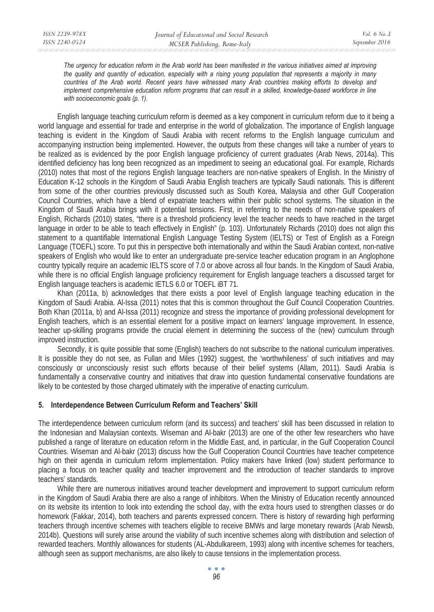*The urgency for education reform in the Arab world has been manifested in the various initiatives aimed at improving the quality and quantity of education, especially with a rising young population that represents a majority in many countries of the Arab world. Recent years have witnessed many Arab countries making efforts to develop and implement comprehensive education reform programs that can result in a skilled, knowledge-based workforce in line with socioeconomic goals (p. 1).* 

English language teaching curriculum reform is deemed as a key component in curriculum reform due to it being a world language and essential for trade and enterprise in the world of globalization. The importance of English language teaching is evident in the Kingdom of Saudi Arabia with recent reforms to the English language curriculum and accompanying instruction being implemented. However, the outputs from these changes will take a number of years to be realized as is evidenced by the poor English language proficiency of current graduates (Arab News, 2014a). This identified deficiency has long been recognized as an impediment to seeing an educational goal. For example, Richards (2010) notes that most of the regions English language teachers are non-native speakers of English. In the Ministry of Education K-12 schools in the Kingdom of Saudi Arabia English teachers are typically Saudi nationals. This is different from some of the other countries previously discussed such as South Korea, Malaysia and other Gulf Cooperation Council Countries, which have a blend of expatriate teachers within their public school systems. The situation in the Kingdom of Saudi Arabia brings with it potential tensions. First, in referring to the needs of non-native speakers of English, Richards (2010) states, "there is a threshold proficiency level the teacher needs to have reached in the target language in order to be able to teach effectively in English" (p. 103). Unfortunately Richards (2010) does not align this statement to a quantifiable International English Language Testing System (IELTS) or Test of English as a Foreign Language (TOEFL) score. To put this in perspective both internationally and within the Saudi Arabian context, non-native speakers of English who would like to enter an undergraduate pre-service teacher education program in an Anglophone country typically require an academic IELTS score of 7.0 or above across all four bands. In the Kingdom of Saudi Arabia, while there is no official English language proficiency requirement for English language teachers a discussed target for English language teachers is academic IETLS 6.0 or TOEFL iBT 71.

Khan (2011a, b) acknowledges that there exists a poor level of English language teaching education in the Kingdom of Saudi Arabia. Al-Issa (2011) notes that this is common throughout the Gulf Council Cooperation Countries. Both Khan (2011a, b) and Al-Issa (2011) recognize and stress the importance of providing professional development for English teachers, which is an essential element for a positive impact on learners' language improvement. In essence, teacher up-skilling programs provide the crucial element in determining the success of the (new) curriculum through improved instruction.

Secondly, it is quite possible that some (English) teachers do not subscribe to the national curriculum imperatives. It is possible they do not see, as Fullan and Miles (1992) suggest, the 'worthwhileness' of such initiatives and may consciously or unconsciously resist such efforts because of their belief systems (Allam, 2011). Saudi Arabia is fundamentally a conservative country and initiatives that draw into question fundamental conservative foundations are likely to be contested by those charged ultimately with the imperative of enacting curriculum.

### **5. Interdependence Between Curriculum Reform and Teachers' Skill**

The interdependence between curriculum reform (and its success) and teachers' skill has been discussed in relation to the Indonesian and Malaysian contexts. Wiseman and Al-bakr (2013) are one of the other few researchers who have published a range of literature on education reform in the Middle East, and, in particular, in the Gulf Cooperation Council Countries. Wiseman and Al-bakr (2013) discuss how the Gulf Cooperation Council Countries have teacher competence high on their agenda in curriculum reform implementation. Policy makers have linked (low) student performance to placing a focus on teacher quality and teacher improvement and the introduction of teacher standards to improve teachers' standards.

While there are numerous initiatives around teacher development and improvement to support curriculum reform in the Kingdom of Saudi Arabia there are also a range of inhibitors. When the Ministry of Education recently announced on its website its intention to look into extending the school day, with the extra hours used to strengthen classes or do homework (Fakkar, 2014), both teachers and parents expressed concern. There is history of rewarding high performing teachers through incentive schemes with teachers eligible to receive BMWs and large monetary rewards (Arab Newsb, 2014b). Questions will surely arise around the viability of such incentive schemes along with distribution and selection of rewarded teachers. Monthly allowances for students (AL-Abdulkareem, 1993) along with incentive schemes for teachers, although seen as support mechanisms, are also likely to cause tensions in the implementation process.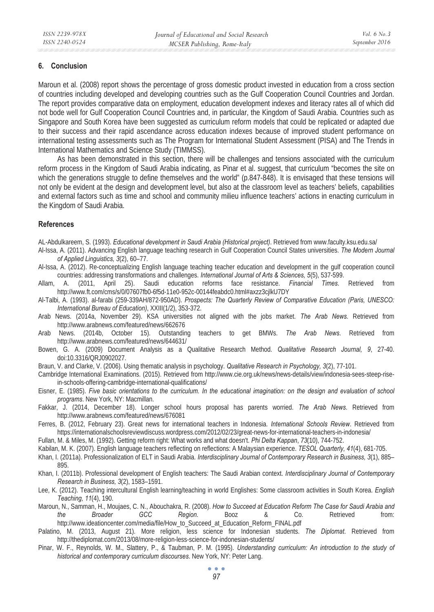# **6. Conclusion**

Maroun et al. (2008) report shows the percentage of gross domestic product invested in education from a cross section of countries including developed and developing countries such as the Gulf Cooperation Council Countries and Jordan. The report provides comparative data on employment, education development indexes and literacy rates all of which did not bode well for Gulf Cooperation Council Countries and, in particular, the Kingdom of Saudi Arabia. Countries such as Singapore and South Korea have been suggested as curriculum reform models that could be replicated or adapted due to their success and their rapid ascendance across education indexes because of improved student performance on international testing assessments such as The Program for International Student Assessment (PISA) and The Trends in International Mathematics and Science Study (TIMMSS).

As has been demonstrated in this section, there will be challenges and tensions associated with the curriculum reform process in the Kingdom of Saudi Arabia indicating, as Pinar et al. suggest, that curriculum "becomes the site on which the generations struggle to define themselves and the world" (p.847-848). It is envisaged that these tensions will not only be evident at the design and development level, but also at the classroom level as teachers' beliefs, capabilities and external factors such as time and school and community milieu influence teachers' actions in enacting curriculum in the Kingdom of Saudi Arabia.

# **References**

AL-Abdulkareem, S. (1993). *Educational development in Saudi Arabia (Historical project)*. Retrieved from www.faculty.ksu.edu.sa/

Al-Issa, A. (2011). Advancing English language teaching research in Gulf Cooperation Council States universities. *The Modern Journal of Applied Linguistics, 3*(2), 60–77.

Al-Issa, A. (2012). Re-conceptualizing English language teaching teacher education and development in the gulf cooperation council countries: addressing transformations and challenges. *International Journal of Arts & Sciences, 5*(5), 537-599.

Allam, A. (2011, April 25). Saudi education reforms face resistance. *Financial Times*. Retrieved from http://www.ft.com/cms/s/0/07607fb0-6f5d-11e0-952c-00144feabdc0.html#axzz3cjlkU7DY

Al-Talbi, A. (1993). al-farabi (259-339AH/872-950AD). *Prospects: The Quarterly Review of Comparative Education (Paris, UNESCO: International Bureau of Education)*, XXIII(1/2), 353-372.

Arab News. (2014a, November 29). KSA universities not aligned with the jobs market. *The Arab News.* Retrieved from http://www.arabnews.com/featured/news/662676

Arab News. (2014b, October 15). Outstanding teachers to get BMWs. *The Arab News*. Retrieved from http://www.arabnews.com/featured/news/644631/

Bowen, G. A. (2009) Document Analysis as a Qualitative Research Method. *Qualitative Research Journal, 9*, 27-40. doi:10.3316/QRJ0902027.

Braun, V. and Clarke, V. (2006). Using thematic analysis in psychology. *Qualitative Research in Psychology, 3*(2), 77-101.

Cambridge International Examinations. (2015). Retrieved from http://www.cie.org.uk/news/news-details/view/indonesia-sees-steep-risein-schools-offering-cambridge-international-qualifications/

Eisner, E. (1985). *Five basic orientations to the curriculum. In the educational imagination: on the design and evaluation of school programs*. New York, NY: Macmillan.

Fakkar, J. (2014, December 18). Longer school hours proposal has parents worried. *The Arab News*. Retrieved from http://www.arabnews.com/featured/news/676081

Ferres, B. (2012, February 23). Great news for international teachers in Indonesia. *International Schools Review*. Retrieved from https://internationalschoolsreviewdiscuss.wordpress.com/2012/02/23/great-news-for-international-teachers-in-indonesia/

Fullan, M. & Miles, M. (1992). Getting reform right: What works and what doesn't. *Phi Delta Kappan*, *73*(10), 744-752.

Kabilan, M. K. (2007). English language teachers reflecting on reflections: A Malaysian experience. *TESOL Quarterly, 41*(4), 681-705.

Khan, I. (2011a). Professionalization of ELT in Saudi Arabia. *Interdisciplinary Journal of Contemporary Research in Business, 3*(1), 885– 895.

Khan, I. (2011b). Professional development of English teachers: The Saudi Arabian context. *Interdisciplinary Journal of Contemporary Research in Business, 3*(2), 1583–1591.

Lee, K. (2012). Teaching intercultural English learning/teaching in world Englishes: Some classroom activities in South Korea. *English Teaching, 11*(4), 190.

Maroun, N., Samman, H., Moujaes, C. N., Abouchakra, R. (2008). *How to Succeed at Education Reform The Case for Saudi Arabia and the Broader GCC Region*. Booz & Co. Retrieved from: http://www.ideationcenter.com/media/file/How\_to\_Succeed\_at\_Education\_Reform\_FINAL.pdf

Palatino, M. (2013, August 21). More religion, less science for Indonesian students. *The Diplomat*. Retrieved from http://thediplomat.com/2013/08/more-religion-less-science-for-indonesian-students/

Pinar, W. F., Reynolds, W. M., Slattery, P., & Taubman, P. M. (1995). *Understanding curriculum: An introduction to the study of historical and contemporary curriculum discourses*. New York, NY: Peter Lang.